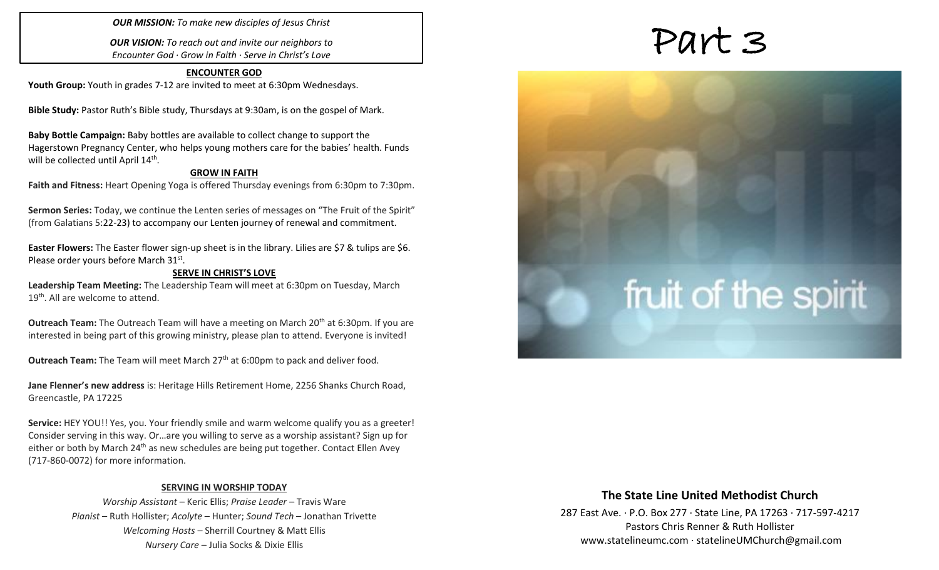### *OUR MISSION: To make new disciples of Jesus Christ*

*OUR VISION: To reach out and invite our neighbors to Encounter God · Grow in Faith · Serve in Christ's Love*

### **ENCOUNTER GOD Youth Group:** Youth in grades 7-12 are invited to meet at 6:30pm Wednesdays.

**Bible Study:** Pastor Ruth's Bible study, Thursdays at 9:30am, is on the gospel of Mark.

**Baby Bottle Campaign:** Baby bottles are available to collect change to support the Hagerstown Pregnancy Center, who helps young mothers care for the babies' health. Funds will be collected until April 14<sup>th</sup>.

### **GROW IN FAITH**

**Faith and Fitness:** Heart Opening Yoga is offered Thursday evenings from 6:30pm to 7:30pm.

**Sermon Series:** Today, we continue the Lenten series of messages on "The Fruit of the Spirit" (from Galatians 5:22-23) to accompany our Lenten journey of renewal and commitment.

**Easter Flowers:** The Easter flower sign-up sheet is in the library. Lilies are \$7 & tulips are \$6. Please order yours before March 31st.

### **SERVE IN CHRIST'S LOVE**

**Leadership Team Meeting:** The Leadership Team will meet at 6:30pm on Tuesday, March 19<sup>th</sup>. All are welcome to attend.

**Outreach Team:** The Outreach Team will have a meeting on March 20<sup>th</sup> at 6:30pm. If you are interested in being part of this growing ministry, please plan to attend. Everyone is invited!

**Outreach Team:** The Team will meet March 27<sup>th</sup> at 6:00pm to pack and deliver food.

**Jane Flenner's new address** is: Heritage Hills Retirement Home, 2256 Shanks Church Road, Greencastle, PA 17225

**Service:** HEY YOU!! Yes, you. Your friendly smile and warm welcome qualify you as a greeter! Consider serving in this way. Or…are you willing to serve as a worship assistant? Sign up for either or both by March 24<sup>th</sup> as new schedules are being put together. Contact Ellen Avey (717-860-0072) for more information.

### **SERVING IN WORSHIP TODAY**

*Worship Assistant* – Keric Ellis; *Praise Leader* – Travis Ware *Pianist* – Ruth Hollister; *Acolyte* – Hunter; *Sound Tech* – Jonathan Trivette *Welcoming Hosts* – Sherrill Courtney & Matt Ellis *Nursery Care* – Julia Socks & Dixie Ellis

# Part 3

# fruit of the spirit

### **The State Line United Methodist Church**

287 East Ave. · P.O. Box 277 · State Line, PA 17263 · 717-597-4217 Pastors Chris Renner & Ruth Hollister [www.statelineumc.com](http://www.statelineumc.com/) · statelineUMChurch@gmail.com